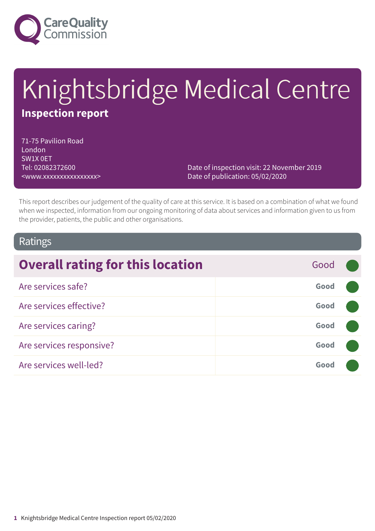

# Knightsbridge Medical Centre **Inspection report**

71-75 Pavilion Road London SW1X 0ET Tel: 02082372600 <www.xxxxxxxxxxxxxxxx>

Date of inspection visit: 22 November 2019 Date of publication: 05/02/2020

This report describes our judgement of the quality of care at this service. It is based on a combination of what we found when we inspected, information from our ongoing monitoring of data about services and information given to us from the provider, patients, the public and other organisations.

#### Ratings

| <b>Overall rating for this location</b> | Good |  |
|-----------------------------------------|------|--|
| Are services safe?                      | Good |  |
| Are services effective?                 | Good |  |
| Are services caring?                    | Good |  |
| Are services responsive?                | Good |  |
| Are services well-led?                  | Good |  |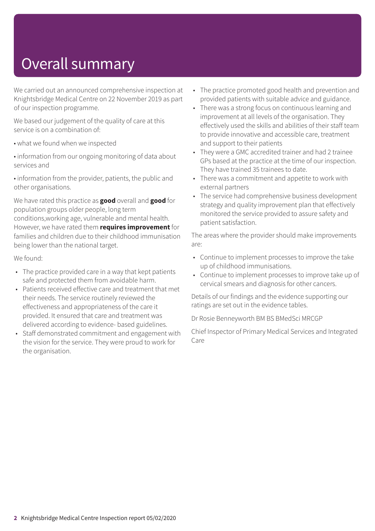## Overall summary

We carried out an announced comprehensive inspection at Knightsbridge Medical Centre on 22 November 2019 as part of our inspection programme.

We based our judgement of the quality of care at this service is on a combination of:

- what we found when we inspected
- information from our ongoing monitoring of data about services and

• information from the provider, patients, the public and other organisations.

We have rated this practice as **good** overall and **good** for population groups older people, long term conditions,working age, vulnerable and mental health. However, we have rated them **requires improvement** for families and children due to their childhood immunisation being lower than the national target.

We found:

- The practice provided care in a way that kept patients safe and protected them from avoidable harm.
- Patients received effective care and treatment that met their needs. The service routinely reviewed the effectiveness and appropriateness of the care it provided. It ensured that care and treatment was delivered according to evidence- based guidelines.
- Staff demonstrated commitment and engagement with the vision for the service. They were proud to work for the organisation.
- The practice promoted good health and prevention and provided patients with suitable advice and guidance.
- There was a strong focus on continuous learning and improvement at all levels of the organisation. They effectively used the skills and abilities of their staff team to provide innovative and accessible care, treatment and support to their patients
- They were a GMC accredited trainer and had 2 trainee GPs based at the practice at the time of our inspection. They have trained 35 trainees to date.
- There was a commitment and appetite to work with external partners
- The service had comprehensive business development strategy and quality improvement plan that effectively monitored the service provided to assure safety and patient satisfaction.

The areas where the provider should make improvements are:

- Continue to implement processes to improve the take up of childhood immunisations.
- Continue to implement processes to improve take up of cervical smears and diagnosis for other cancers.

Details of our findings and the evidence supporting our ratings are set out in the evidence tables.

Dr Rosie Benneyworth BM BS BMedSci MRCGP

Chief Inspector of Primary Medical Services and Integrated Care